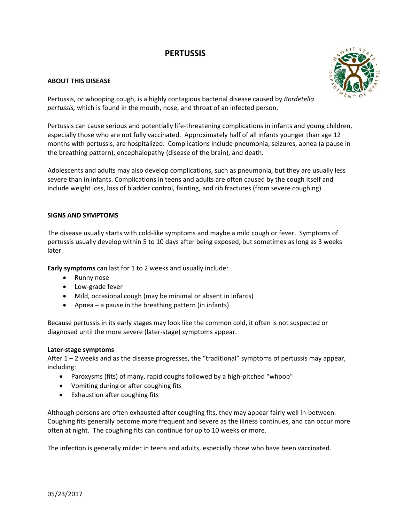# **PERTUSSIS**

# **ABOUT THIS DISEASE**



Pertussis, or whooping cough, is a highly contagious bacterial disease caused by *Bordetella pertussis,* which is found in the mouth, nose, and throat of an infected person.

Pertussis can cause serious and potentially life-threatening complications in infants and young children, especially those who are not fully vaccinated. Approximately half of all infants younger than age 12 months with pertussis, are hospitalized. Complications include pneumonia, seizures, apnea (a pause in the breathing pattern), encephalopathy (disease of the brain), and death.

Adolescents and adults may also develop complications, such as pneumonia, but they are usually less severe than in infants. Complications in teens and adults are often caused by the cough itself and include weight loss, loss of bladder control, fainting, and rib fractures (from severe coughing).

# **SIGNS AND SYMPTOMS**

The disease usually starts with cold‐like symptoms and maybe a mild cough or fever. Symptoms of pertussis usually develop within 5 to 10 days after being exposed, but sometimes as long as 3 weeks later.

**Early symptoms** can last for 1 to 2 weeks and usually include:

- Runny nose
- Low-grade fever
- Mild, occasional cough (may be minimal or absent in infants)
- Apnea a pause in the breathing pattern (in infants)

Because pertussis in its early stages may look like the common cold, it often is not suspected or diagnosed until the more severe (later‐stage) symptoms appear.

# **Later‐stage symptoms**

After 1 – 2 weeks and as the disease progresses, the "traditional" symptoms of pertussis may appear, including:

- Paroxysms (fits) of many, rapid coughs followed by a high‐pitched "whoop"
- Vomiting during or after coughing fits
- Exhaustion after coughing fits

Although persons are often exhausted after coughing fits, they may appear fairly well in‐between. Coughing fits generally become more frequent and severe as the illness continues, and can occur more often at night. The coughing fits can continue for up to 10 weeks or more.

The infection is generally milder in teens and adults, especially those who have been vaccinated.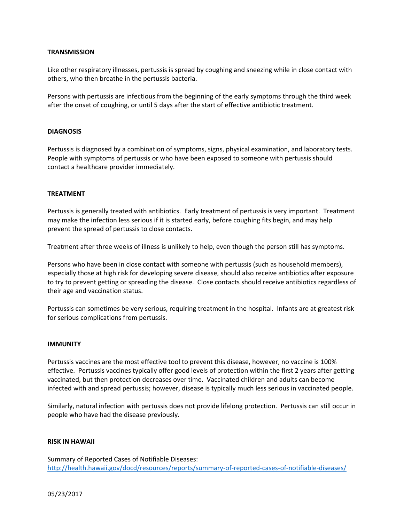## **TRANSMISSION**

Like other respiratory illnesses, pertussis is spread by coughing and sneezing while in close contact with others, who then breathe in the pertussis bacteria.

Persons with pertussis are infectious from the beginning of the early symptoms through the third week after the onset of coughing, or until 5 days after the start of effective antibiotic treatment.

## **DIAGNOSIS**

Pertussis is diagnosed by a combination of symptoms, signs, physical examination, and laboratory tests. People with symptoms of pertussis or who have been exposed to someone with pertussis should contact a healthcare provider immediately.

## **TREATMENT**

Pertussis is generally treated with antibiotics. Early treatment of pertussis is very important. Treatment may make the infection less serious if it is started early, before coughing fits begin, and may help prevent the spread of pertussis to close contacts.

Treatment after three weeks of illness is unlikely to help, even though the person still has symptoms.

Persons who have been in close contact with someone with pertussis (such as household members), especially those at high risk for developing severe disease, should also receive antibiotics after exposure to try to prevent getting or spreading the disease. Close contacts should receive antibiotics regardless of their age and vaccination status.

Pertussis can sometimes be very serious, requiring treatment in the hospital. Infants are at greatest risk for serious complications from pertussis.

#### **IMMUNITY**

Pertussis vaccines are the most effective tool to prevent this disease, however, no vaccine is 100% effective. Pertussis vaccines typically offer good levels of protection within the first 2 years after getting vaccinated, but then protection decreases over time. Vaccinated children and adults can become infected with and spread pertussis; however, disease is typically much less serious in vaccinated people.

Similarly, natural infection with pertussis does not provide lifelong protection. Pertussis can still occur in people who have had the disease previously.

#### **RISK IN HAWAII**

Summary of Reported Cases of Notifiable Diseases: [http://health.hawaii.gov/docd/resources/reports/summary](http://health.hawaii.gov/docd/resources/reports/summary-of-reported-cases-of-notifiable-diseases/)‐of‐reported‐cases‐of‐notifiable‐diseases/